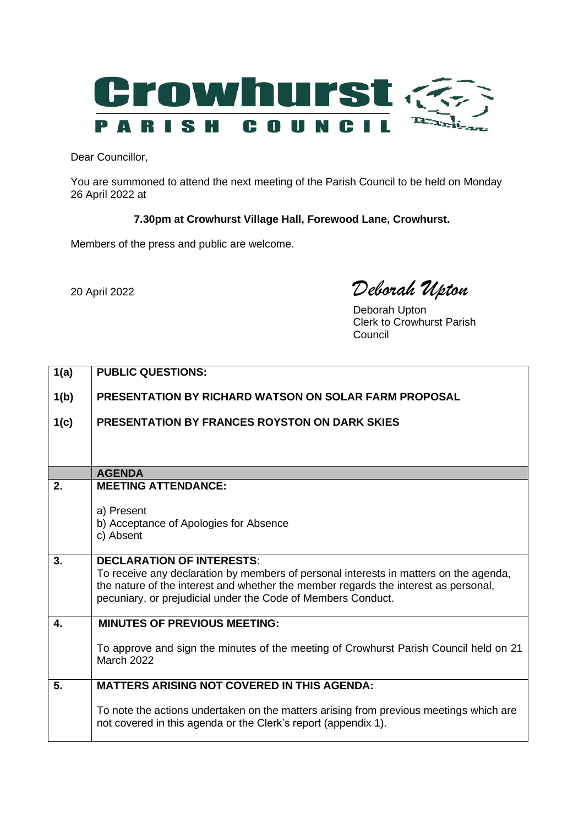

Dear Councillor,

You are summoned to attend the next meeting of the Parish Council to be held on Monday 26 April 2022 at

## **7.30pm at Crowhurst Village Hall, Forewood Lane, Crowhurst.**

Members of the press and public are welcome.

20 April <sup>2022</sup> *Deborah Upton*

Deborah Upton Clerk to Crowhurst Parish Council

| 1(a)                      | <b>PUBLIC QUESTIONS:</b>                                                                                                                                 |
|---------------------------|----------------------------------------------------------------------------------------------------------------------------------------------------------|
|                           |                                                                                                                                                          |
| 1(b)                      | <b>PRESENTATION BY RICHARD WATSON ON SOLAR FARM PROPOSAL</b>                                                                                             |
| 1(c)                      | <b>PRESENTATION BY FRANCES ROYSTON ON DARK SKIES</b>                                                                                                     |
|                           |                                                                                                                                                          |
|                           |                                                                                                                                                          |
|                           | <b>AGENDA</b>                                                                                                                                            |
| 2.                        | <b>MEETING ATTENDANCE:</b>                                                                                                                               |
|                           | a) Present                                                                                                                                               |
|                           | b) Acceptance of Apologies for Absence                                                                                                                   |
|                           | c) Absent                                                                                                                                                |
| 3.                        | <b>DECLARATION OF INTERESTS:</b>                                                                                                                         |
|                           | To receive any declaration by members of personal interests in matters on the agenda,                                                                    |
|                           | the nature of the interest and whether the member regards the interest as personal,                                                                      |
|                           | pecuniary, or prejudicial under the Code of Members Conduct.                                                                                             |
| $\overline{\mathbf{4}}$ . | <b>MINUTES OF PREVIOUS MEETING:</b>                                                                                                                      |
|                           |                                                                                                                                                          |
|                           | To approve and sign the minutes of the meeting of Crowhurst Parish Council held on 21<br><b>March 2022</b>                                               |
|                           |                                                                                                                                                          |
| 5.                        | <b>MATTERS ARISING NOT COVERED IN THIS AGENDA:</b>                                                                                                       |
|                           |                                                                                                                                                          |
|                           | To note the actions undertaken on the matters arising from previous meetings which are<br>not covered in this agenda or the Clerk's report (appendix 1). |
|                           |                                                                                                                                                          |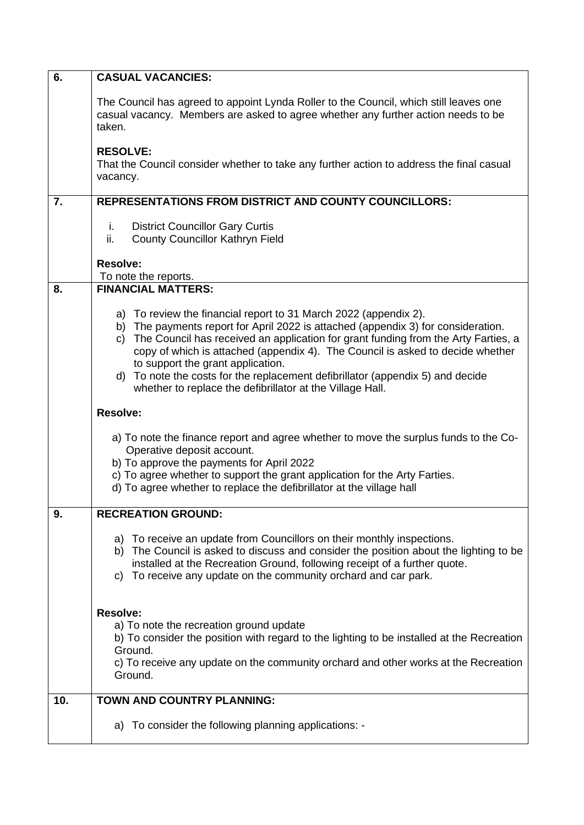| 6.  | <b>CASUAL VACANCIES:</b>                                                                                                                                                                                                                                                                                                                                                                                                                                                                                             |
|-----|----------------------------------------------------------------------------------------------------------------------------------------------------------------------------------------------------------------------------------------------------------------------------------------------------------------------------------------------------------------------------------------------------------------------------------------------------------------------------------------------------------------------|
|     | The Council has agreed to appoint Lynda Roller to the Council, which still leaves one<br>casual vacancy. Members are asked to agree whether any further action needs to be<br>taken.                                                                                                                                                                                                                                                                                                                                 |
|     | <b>RESOLVE:</b><br>That the Council consider whether to take any further action to address the final casual<br>vacancy.                                                                                                                                                                                                                                                                                                                                                                                              |
| 7.  | <b>REPRESENTATIONS FROM DISTRICT AND COUNTY COUNCILLORS:</b>                                                                                                                                                                                                                                                                                                                                                                                                                                                         |
|     | <b>District Councillor Gary Curtis</b><br>i.<br>ii.<br><b>County Councillor Kathryn Field</b>                                                                                                                                                                                                                                                                                                                                                                                                                        |
|     | Resolve:                                                                                                                                                                                                                                                                                                                                                                                                                                                                                                             |
| 8.  | To note the reports.<br><b>FINANCIAL MATTERS:</b>                                                                                                                                                                                                                                                                                                                                                                                                                                                                    |
|     | a) To review the financial report to 31 March 2022 (appendix 2).<br>b) The payments report for April 2022 is attached (appendix 3) for consideration.<br>c) The Council has received an application for grant funding from the Arty Farties, a<br>copy of which is attached (appendix 4). The Council is asked to decide whether<br>to support the grant application.<br>d) To note the costs for the replacement defibrillator (appendix 5) and decide<br>whether to replace the defibrillator at the Village Hall. |
|     | <b>Resolve:</b>                                                                                                                                                                                                                                                                                                                                                                                                                                                                                                      |
|     | a) To note the finance report and agree whether to move the surplus funds to the Co-<br>Operative deposit account.<br>b) To approve the payments for April 2022<br>c) To agree whether to support the grant application for the Arty Farties.<br>d) To agree whether to replace the defibrillator at the village hall                                                                                                                                                                                                |
| 9.  | <b>RECREATION GROUND:</b>                                                                                                                                                                                                                                                                                                                                                                                                                                                                                            |
|     | a) To receive an update from Councillors on their monthly inspections.<br>b) The Council is asked to discuss and consider the position about the lighting to be<br>installed at the Recreation Ground, following receipt of a further quote.<br>To receive any update on the community orchard and car park.<br>C)                                                                                                                                                                                                   |
|     | <b>Resolve:</b><br>a) To note the recreation ground update<br>b) To consider the position with regard to the lighting to be installed at the Recreation<br>Ground.<br>c) To receive any update on the community orchard and other works at the Recreation<br>Ground.                                                                                                                                                                                                                                                 |
| 10. | <b>TOWN AND COUNTRY PLANNING:</b>                                                                                                                                                                                                                                                                                                                                                                                                                                                                                    |
|     | a) To consider the following planning applications: -                                                                                                                                                                                                                                                                                                                                                                                                                                                                |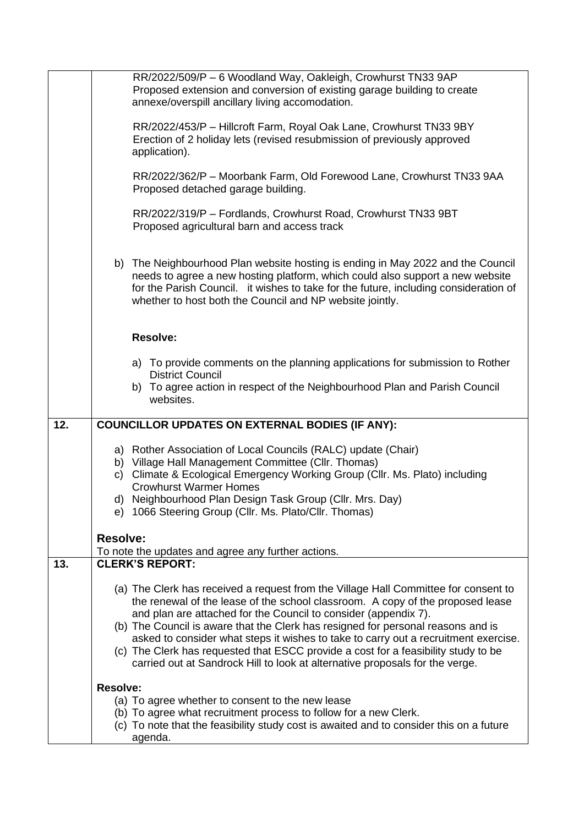|     | RR/2022/509/P - 6 Woodland Way, Oakleigh, Crowhurst TN33 9AP<br>Proposed extension and conversion of existing garage building to create<br>annexe/overspill ancillary living accomodation.                                                                                                                                                                |
|-----|-----------------------------------------------------------------------------------------------------------------------------------------------------------------------------------------------------------------------------------------------------------------------------------------------------------------------------------------------------------|
|     | RR/2022/453/P - Hillcroft Farm, Royal Oak Lane, Crowhurst TN33 9BY<br>Erection of 2 holiday lets (revised resubmission of previously approved<br>application).                                                                                                                                                                                            |
|     | RR/2022/362/P - Moorbank Farm, Old Forewood Lane, Crowhurst TN33 9AA<br>Proposed detached garage building.                                                                                                                                                                                                                                                |
|     | RR/2022/319/P - Fordlands, Crowhurst Road, Crowhurst TN33 9BT<br>Proposed agricultural barn and access track                                                                                                                                                                                                                                              |
|     | b) The Neighbourhood Plan website hosting is ending in May 2022 and the Council<br>needs to agree a new hosting platform, which could also support a new website<br>for the Parish Council. it wishes to take for the future, including consideration of<br>whether to host both the Council and NP website jointly.                                      |
|     | <b>Resolve:</b>                                                                                                                                                                                                                                                                                                                                           |
|     | a) To provide comments on the planning applications for submission to Rother<br><b>District Council</b>                                                                                                                                                                                                                                                   |
|     | b) To agree action in respect of the Neighbourhood Plan and Parish Council<br>websites.                                                                                                                                                                                                                                                                   |
| 12. | <b>COUNCILLOR UPDATES ON EXTERNAL BODIES (IF ANY):</b>                                                                                                                                                                                                                                                                                                    |
|     | a) Rother Association of Local Councils (RALC) update (Chair)<br>b) Village Hall Management Committee (Cllr. Thomas)<br>c) Climate & Ecological Emergency Working Group (Cllr. Ms. Plato) including<br><b>Crowhurst Warmer Homes</b><br>d) Neighbourhood Plan Design Task Group (Cllr. Mrs. Day)<br>e) 1066 Steering Group (Cllr. Ms. Plato/Cllr. Thomas) |
|     | <b>Resolve:</b>                                                                                                                                                                                                                                                                                                                                           |
|     | To note the updates and agree any further actions.                                                                                                                                                                                                                                                                                                        |
| 13. | <b>CLERK'S REPORT:</b>                                                                                                                                                                                                                                                                                                                                    |
|     | (a) The Clerk has received a request from the Village Hall Committee for consent to<br>the renewal of the lease of the school classroom. A copy of the proposed lease<br>and plan are attached for the Council to consider (appendix 7).                                                                                                                  |
|     | (b) The Council is aware that the Clerk has resigned for personal reasons and is<br>asked to consider what steps it wishes to take to carry out a recruitment exercise.<br>(c) The Clerk has requested that ESCC provide a cost for a feasibility study to be<br>carried out at Sandrock Hill to look at alternative proposals for the verge.             |
|     | <b>Resolve:</b>                                                                                                                                                                                                                                                                                                                                           |
|     | (a) To agree whether to consent to the new lease<br>(b) To agree what recruitment process to follow for a new Clerk.<br>(c) To note that the feasibility study cost is awaited and to consider this on a future<br>agenda.                                                                                                                                |